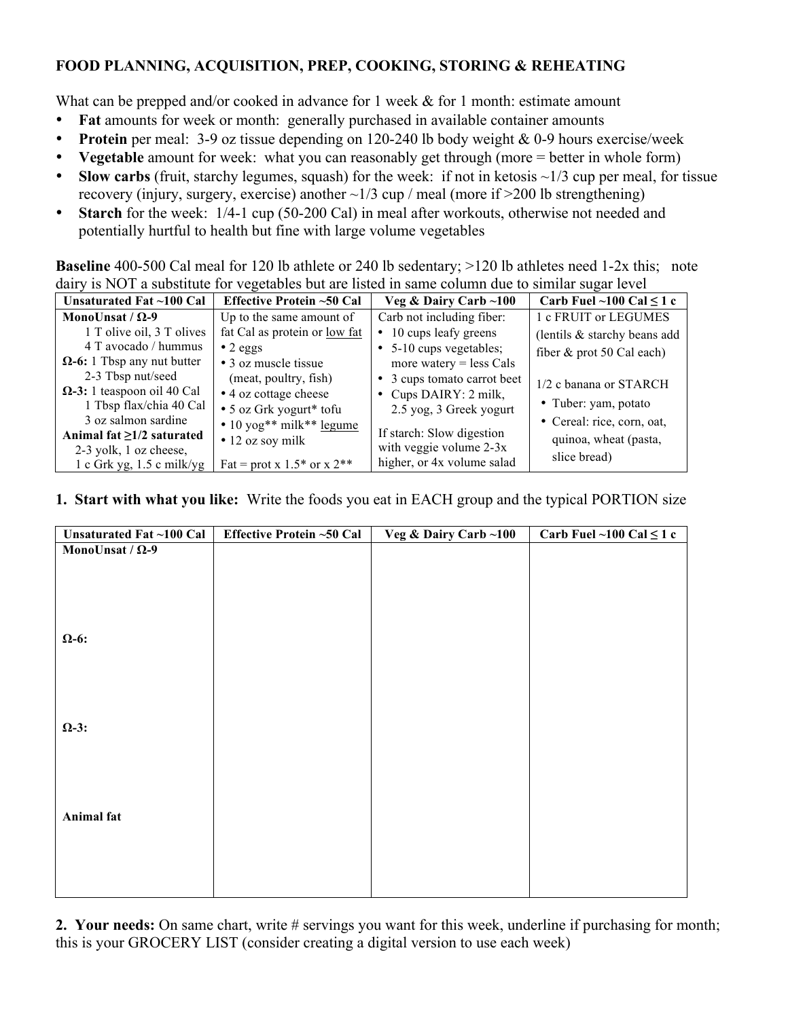## **FOOD PLANNING, ACQUISITION, PREP, COOKING, STORING & REHEATING**

What can be prepped and/or cooked in advance for 1 week  $\&$  for 1 month: estimate amount

- **Fat** amounts for week or month: generally purchased in available container amounts
- **Protein** per meal: 3-9 oz tissue depending on 120-240 lb body weight & 0-9 hours exercise/week
- **Vegetable** amount for week: what you can reasonably get through (more = better in whole form)
- **Slow carbs** (fruit, starchy legumes, squash) for the week: if not in ketosis  $\sim 1/3$  cup per meal, for tissue recovery (injury, surgery, exercise) another  $\sim$ 1/3 cup / meal (more if  $>$ 200 lb strengthening)
- **Starch** for the week:  $1/4$ -1 cup (50-200 Cal) in meal after workouts, otherwise not needed and potentially hurtful to health but fine with large volume vegetables

**Baseline** 400-500 Cal meal for 120 lb athlete or 240 lb sedentary; >120 lb athletes need 1-2x this; note dairy is NOT a substitute for vegetables but are listed in same column due to similar sugar level

| $\frac{1}{2}$ is $\frac{1}{2}$ and $\frac{1}{2}$ and $\frac{1}{2}$ is $\frac{1}{2}$ . The case of $\frac{1}{2}$ is the set of $\frac{1}{2}$ is the set of $\frac{1}{2}$ is the set of $\frac{1}{2}$ is the set of $\frac{1}{2}$ is the set of $\frac{1}{2}$ is the set of |                                |                             |                               |  |  |
|---------------------------------------------------------------------------------------------------------------------------------------------------------------------------------------------------------------------------------------------------------------------------|--------------------------------|-----------------------------|-------------------------------|--|--|
| Unsaturated Fat ~100 Cal                                                                                                                                                                                                                                                  | Effective Protein ~50 Cal      | Veg & Dairy Carb ~100       | Carb Fuel ~100 Cal $\leq$ 1 c |  |  |
| MonoUnsat / $\Omega$ -9                                                                                                                                                                                                                                                   | Up to the same amount of       | Carb not including fiber:   | 1 c FRUIT or LEGUMES          |  |  |
| 1 T olive oil, 3 T olives                                                                                                                                                                                                                                                 | fat Cal as protein or low fat  | 10 cups leafy greens<br>٠   | (lentils & starchy beans add) |  |  |
| 4 T avocado / hummus                                                                                                                                                                                                                                                      | $\bullet$ 2 eggs               | • 5-10 cups vegetables;     | fiber $\&$ prot 50 Cal each)  |  |  |
| $\Omega$ -6: 1 Tbsp any nut butter                                                                                                                                                                                                                                        | • 3 oz muscle tissue           | more watery $=$ less Cals   |                               |  |  |
| 2-3 Tbsp nut/seed                                                                                                                                                                                                                                                         | (meat, poultry, fish)          | • 3 cups tomato carrot beet | 1/2 c banana or STARCH        |  |  |
| $\Omega$ -3: 1 teaspoon oil 40 Cal                                                                                                                                                                                                                                        | • 4 oz cottage cheese          | • Cups DAIRY: 2 milk,       |                               |  |  |
| 1 Tbsp flax/chia 40 Cal                                                                                                                                                                                                                                                   | • 5 oz Grk yogurt* tofu        | 2.5 yog, 3 Greek yogurt     | • Tuber: yam, potato          |  |  |
| 3 oz salmon sardine                                                                                                                                                                                                                                                       | • 10 yog** milk** legume       |                             | • Cereal: rice, corn, oat,    |  |  |
| Animal fat $\geq 1/2$ saturated                                                                                                                                                                                                                                           | $\bullet$ 12 oz soy milk       | If starch: Slow digestion   | quinoa, wheat (pasta,         |  |  |
| 2-3 yolk, 1 oz cheese,                                                                                                                                                                                                                                                    |                                | with veggie volume $2-3x$   | slice bread)                  |  |  |
| $1c$ Grk yg, $1.5c$ milk/yg                                                                                                                                                                                                                                               | Fat = prot x $1.5*$ or x $2**$ | higher, or 4x volume salad  |                               |  |  |

## **1. Start with what you like:** Write the foods you eat in EACH group and the typical PORTION size

| Unsaturated Fat ~100 Cal | <b>Effective Protein ~50 Cal</b> | Veg & Dairy Carb ~100 | Carb Fuel $\sim$ 100 Cal $\leq$ 1 c |
|--------------------------|----------------------------------|-----------------------|-------------------------------------|
| MonoUnsat / $\Omega$ -9  |                                  |                       |                                     |
|                          |                                  |                       |                                     |
|                          |                                  |                       |                                     |
|                          |                                  |                       |                                     |
|                          |                                  |                       |                                     |
| $\Omega$ -6:             |                                  |                       |                                     |
|                          |                                  |                       |                                     |
|                          |                                  |                       |                                     |
|                          |                                  |                       |                                     |
|                          |                                  |                       |                                     |
| $\Omega$ -3:             |                                  |                       |                                     |
|                          |                                  |                       |                                     |
|                          |                                  |                       |                                     |
|                          |                                  |                       |                                     |
|                          |                                  |                       |                                     |
| Animal fat               |                                  |                       |                                     |
|                          |                                  |                       |                                     |
|                          |                                  |                       |                                     |
|                          |                                  |                       |                                     |
|                          |                                  |                       |                                     |
|                          |                                  |                       |                                     |

**2. Your needs:** On same chart, write # servings you want for this week, underline if purchasing for month; this is your GROCERY LIST (consider creating a digital version to use each week)